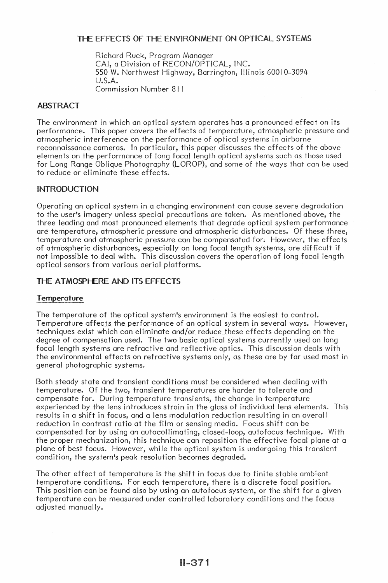# THE FEFECTS OF THE ENVIRONMENT ON OPTICAL SYSTEMS

Richard Ruck, Program Manager CAl, a Division of RECON/OPTICAL, INC. 550 W. Northwest Highway, Barrington, Illinois 60010-3094 U.S.A. Commission Number 811

# ABSTRACT

The environment in which an optical system operates has a pronounced effect on its performance. This paper covers the effects of temperature, atmospheric pressure and atmospheric interference on the performance of optical systems in airborne reconnaissance cameras. In particular, this paper discusses the effects of the above elements on the performance of long focal length optical systems such as those used for Long Range Oblique Photography (LOROP), and some of the ways that can be used to reduce or eliminate these effects.

# INTRODUCTION

Operating an optical system in a changing environment can cause severe degradation to the user's imagery unless special precautions are taken. As mentioned above, the three leading and most pronounced elements that degrade optical system performance are temperature, atmospheric pressure and atmospheric disturbances. Of these three, temperature and atmospheric pressure can be compensated for. However, the effects of atmospheric disturbances, especially on long focal length systems, are difficult if not impossible to deal with. This discussion covers the operation of long focal length optical sensors from various aerial platforms.

# THE ATMOSPHERE AND ITS EFFECTS

#### Temperature

The temperature of the optical system's environment is the easiest to control. Temperature affects the performance of an optical system in several ways. However, techniques exist which can eliminate and/or reduce these effects depending on the degree of compensation used. The two basic optical systems currently used on long focal length systems are refractive and reflective optics. This discussion deals with the environmental effects on refractive systems only, as these are by far used most in general photographic systems.

Both steady state and transient conditions must be considered when dealing with temperature. Of the two, transient temperatures are harder to tolerate and compensate for. During temperature transients, the change in temperature experienced by the lens introduces strain in the glass of individual lens elements. This results in a shift in focus, and a lens modulation reduction resulting in an overall reduction in contrast ratio at the film or sensing media. Focus shift can be compensated for by using an autocollimating, closed-loop, autofocus technique. With the proper mechanization, this technique can reposition the effective focal plane at a plane of best focus. However, while the optical system is undergoing this transient condition, the system's peak resolution becomes degraded.

The other effect of temperature is the shift in focus due to finite stable ambient temperature conditions. For each temperature, there is a discrete focal position. This position can be found also by using an autofocus system, or the shift for a given temperature can be measured under controlled laboratory conditions and the focus adjusted manually.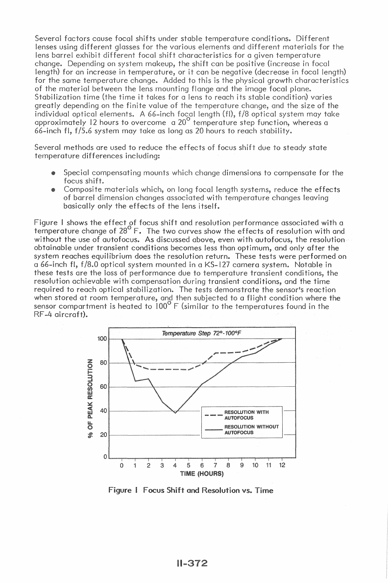Several factors cause focal shifts under stable temperature conditions. Different lenses using different glasses for the various elements and different materials for the lens barrel exhibit different focal shift characteristics for a given temperature change. Depending on system makeup, the shift can be positive (increase in focal length) for an increase in temperature, or it can be negative (decrease in focal length) for the same temperature change. Added to this is the physical growth characteristics of the material between the lens mounting flange and the image focal plane. Stabilization time (the time it takes for a lens to reach its stable condition) varies greatly depending on the finite value of the temperature change, and the size of the individual optical elements. A 66-inch focal length (fl), f/8 optical system may take<br>approximately 12 hours to overcome a 20<sup>0</sup> temperature step function, whereas a 66-inch fl, f/5.6 system may take as long as 20 hours to reach stability.

Several methods are used to reduce the effects of focus shift due to steady state temperature differences including:

- Special compensating mounts which change dimensions to compensate for the focus shift.
- Composite materials which, on long focal length systems, reduce the effects of barrel dimension changes associated with temperature changes leaving basically only the effects of the lens itself.

Figure 1 shows the effect of focus shift and resolution performance associated with a temperature change of  $28^{\circ}$  F. The two curves show the effects of resolution with and without the use of autofocus. As discussed above, even with autofocus, the resolution obtainable under transient conditions becomes less than optimum, and only after the system reaches equilibrium does the resolution return. These tests were performed on a 66-inch fl, f/8.0 optical system mounted in a KS-127 camera system. Notable in these tests are the loss of performance due to temperature transient conditions, the resolution achievable with compensation during transient conditions, and the time required to reach optical stabilization. The tests demonstrate the sensor's reaction when stored at room temperature, and then subjected to a flight condition where the sensor compartment is heated to  $100^{\circ}$  F (similar to the temperatures found in the RF-4 aircraft).



Figure I Focus Shift and Resolution vs. Time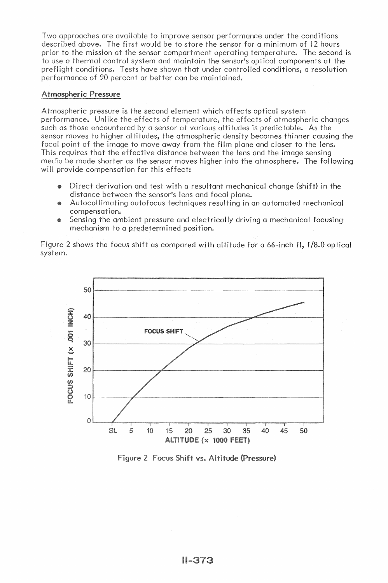Two approaches are available to improve sensor performance under the conditions described above. The first would be to store the sensor for a minimum of 12 hours prior to the mission at the sensor compartment operating temperature. The second is to use a thermal control system and maintain the sensor's optical components at the preflight conditions. Tests have shown that under controlled conditions, a resolution performance of 90 percent or better can be maintained.

# Atmospheric Pressure

Atmospheric pressure is the second element which affects optical system performance. Unlike the effects of temperature, the effects of atmospheric changes such as those encountered by a sensor at various altitudes is predictable. As the sensor moves to higher altitudes, the atmospheric density becomes thinner causing the focal point of the image to move away from the film plane and closer to the lens. This requires that the effective distance between the lens and the image sensing media be made shorter as the sensor moves higher into the atmosphere. The following will provide compensation for this effect:

- Direct derivation and test with a resultant mechanical change (shift) in the distance between the sensor's lens and focal plane.
- Autocollimating autofocus techniques resulting in an automated mechanical compensation.
- Sensing the ambient pressure and electrically driving a mechanical focusing mechanism to a predetermined position.

Figure 2 shows the focus shift as compared with altitude for a 66-inch fl. f/8.0 optical system.



Figure 2 Focus Shift vs. Altitude (Pressure)